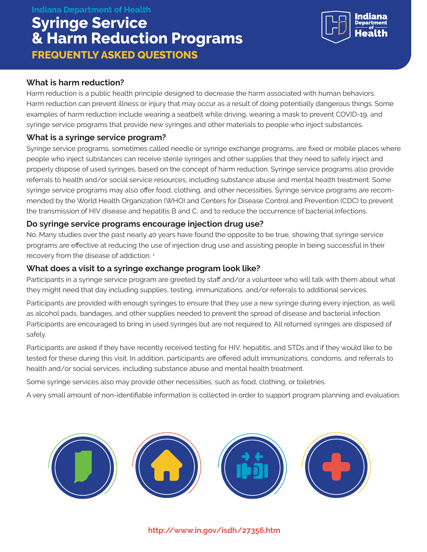#### **Indiana Department of Health**

# **Syringe Service & Harm Reduction Programs FREQUENTLY ASKED QUESTIONS**



#### **What is harm reduction?**

Harm reduction is a public health principle designed to decrease the harm associated with human behaviors. Harm reduction can prevent illness or injury that may occur as a result of doing potentially dangerous things. Some examples of harm reduction include wearing a seatbelt while driving, wearing a mask to prevent COVID-19, and syringe service programs that provide new syringes and other materials to people who inject substances.

# **What is a syringe service program?**

Syringe service programs, sometimes called needle or syringe exchange programs, are fixed or mobile places where people who inject substances can receive sterile syringes and other supplies that they need to safely inject and properly dispose of used syringes, based on the concept of harm reduction. Syringe service programs also provide referrals to health and/or social service resources, including substance abuse and mental health treatment. Some syringe service programs may also offer food, clothing, and other necessities. Syringe service programs are recommended by the World Health Organization (WHO) and Centers for Disease Control and Prevention (CDC) to prevent the transmission of HIV disease and hepatitis B and C, and to reduce the occurrence of bacterial infections.

#### **Do syringe service programs encourage injection drug use?**

No. Many studies over the past nearly 40 years have found the opposite to be true, showing that syringe service programs are effective at reducing the use of injection drug use and assisting people in being successful in their recovery from the disease of addiction.<sup>1</sup>

# **What does a visit to a syringe exchange program look like?**

Participants in a syringe service program are greeted by staff and/or a volunteer who will talk with them about what they might need that day including supplies, testing, immunizations, and/or referrals to additional services.

Participants are provided with enough syringes to ensure that they use a new syringe during every injection, as well as alcohol pads, bandages, and other supplies needed to prevent the spread of disease and bacterial infection. Participants are encouraged to bring in used syringes but are not required to. All returned syringes are disposed of safely.

Participants are asked if they have recently received testing for HIV, hepatitis, and STDs and if they would like to be tested for these during this visit. In addition, participants are offered adult immunizations, condoms, and referrals to health and/or social services, including substance abuse and mental health treatment.

Some syringe services also may provide other necessities, such as food, clothing, or toiletries.

A very small amount of non-identifiable information is collected in order to support program planning and evaluation.